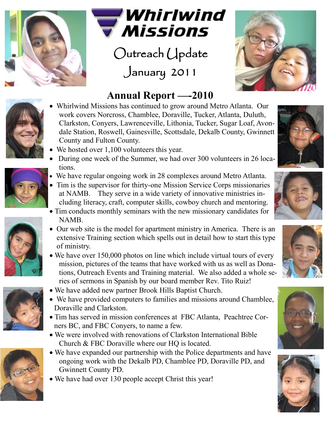



Outreach Update January 2011



## **Annual Report —-2010**

- Whirlwind Missions has continued to grow around Metro Atlanta. Our work covers Norcross, Chamblee, Doraville, Tucker, Atlanta, Duluth, Clarkston, Conyers, Lawrenceville, Lithonia, Tucker, Sugar Loaf, Avondale Station, Roswell, Gainesville, Scottsdale, Dekalb County, Gwinnett County and Fulton County.
- We hosted over 1,100 volunteers this year.
- During one week of the Summer, we had over 300 volunteers in 26 locations.
- We have regular ongoing work in 28 complexes around Metro Atlanta.
- Tim is the supervisor for thirty-one Mission Service Corps missionaries at NAMB. They serve in a wide variety of innovative ministries including literacy, craft, computer skills, cowboy church and mentoring.
- Tim conducts monthly seminars with the new missionary candidates for NAMB.
- Our web site is the model for apartment ministry in America. There is an extensive Training section which spells out in detail how to start this type of ministry.
- We have over 150,000 photos on line which include virtual tours of every mission, pictures of the teams that have worked with us as well as Donations, Outreach Events and Training material. We also added a whole series of sermons in Spanish by our board member Rev. Tito Ruiz!
- We have added new partner Brook Hills Baptist Church.
- We have provided computers to families and missions around Chamblee, Doraville and Clarkston.
- Tim has served in mission conferences at FBC Atlanta, Peachtree Corners BC, and FBC Conyers, to name a few.
- We were involved with renovations of Clarkston International Bible Church & FBC Doraville where our HO is located.
- We have expanded our partnership with the Police departments and have ongoing work with the Dekalb PD, Chamblee PD, Doraville PD, and Gwinnett County PD.
- We have had over 130 people accept Christ this year!